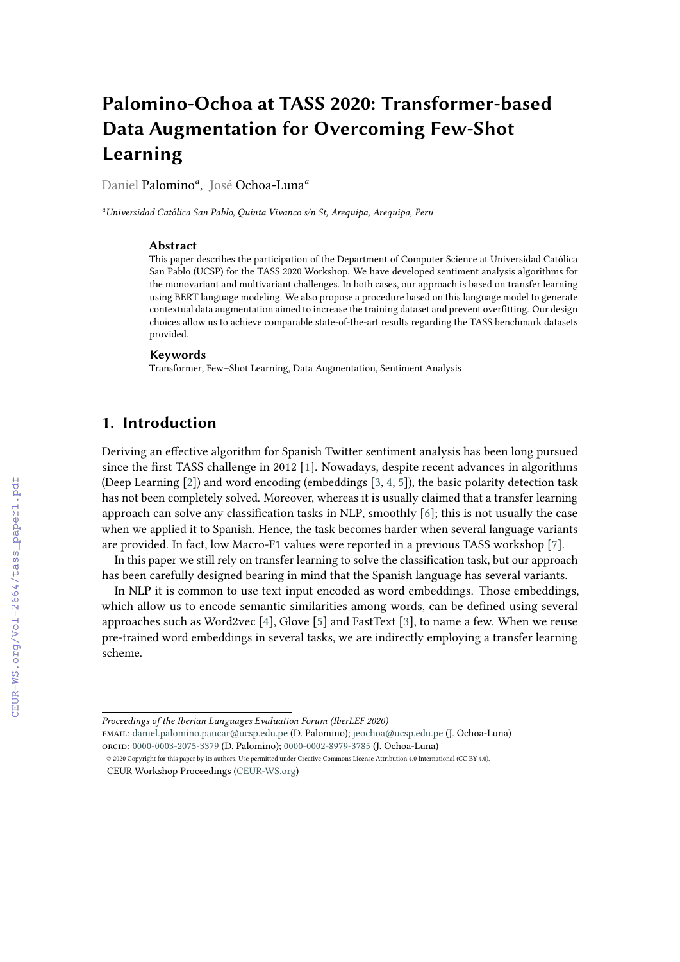# **Palomino-Ochoa at TASS 2020: Transformer-based Data Augmentation for Overcoming Few-Shot Learning**

Daniel Palomino*<sup>a</sup>* , José Ochoa-Luna*<sup>a</sup>*

*<sup>a</sup>Universidad Católica San Pablo, Quinta Vivanco s/n St, Arequipa, Arequipa, Peru*

#### **Abstract**

This paper describes the participation of the Department of Computer Science at Universidad Católica San Pablo (UCSP) for the TASS 2020 Workshop. We have developed sentiment analysis algorithms for the monovariant and multivariant challenges. In both cases, our approach is based on transfer learning using BERT language modeling. We also propose a procedure based on this language model to generate contextual data augmentation aimed to increase the training dataset and prevent overfitting. Our design choices allow us to achieve comparable state-of-the-art results regarding the TASS benchmark datasets provided.

#### **Keywords**

Transformer, Few–Shot Learning, Data Augmentation, Sentiment Analysis

# **1. Introduction**

Deriving an effective algorithm for Spanish Twitter sentiment analysis has been long pursued since the first TASS challenge in 2012 [\[1\]](#page--1-0). Nowadays, despite recent advances in algorithms (Deep Learning [\[2\]](#page--1-1)) and word encoding (embeddings [\[3,](#page--1-2) [4,](#page--1-3) [5\]](#page--1-4)), the basic polarity detection task has not been completely solved. Moreover, whereas it is usually claimed that a transfer learning approach can solve any classification tasks in NLP, smoothly [\[6\]](#page--1-5); this is not usually the case when we applied it to Spanish. Hence, the task becomes harder when several language variants are provided. In fact, low Macro-F1 values were reported in a previous TASS workshop [\[7\]](#page--1-6).

In this paper we still rely on transfer learning to solve the classification task, but our approach has been carefully designed bearing in mind that the Spanish language has several variants.

In NLP it is common to use text input encoded as word embeddings. Those embeddings, which allow us to encode semantic similarities among words, can be defined using several approaches such as Word2vec  $[4]$ , Glove  $[5]$  and FastText  $[3]$ , to name a few. When we reuse pre-trained word embeddings in several tasks, we are indirectly employing a transfer learning scheme.

*Proceedings of the Iberian Languages Evaluation Forum (IberLEF 2020)*

email: [daniel.palomino.paucar@ucsp.edu.pe](mailto:daniel.palomino.paucar@ucsp.edu.pe) (D. Palomino); [jeochoa@ucsp.edu.pe](mailto:jeochoa@ucsp.edu.pe) (J. Ochoa-Luna)

[o](https://creativecommons.org/licenses/by/4.0)rcid: [0000-0003-2075-3379](https://orcid.org/0000-0003-2075-3379) (D. Palomino); [0000-0002-8979-3785](https://orcid.org/0000-0002-8979-3785) (J. Ochoa-Luna) © 2020 Copyright for this paper by its authors. Use permitted under Creative Commons License Attribution 4.0 International (CC BY 4.0).

CEUR Workshop Proceedings [\(CEUR-WS.org\)](http://ceur-ws.org)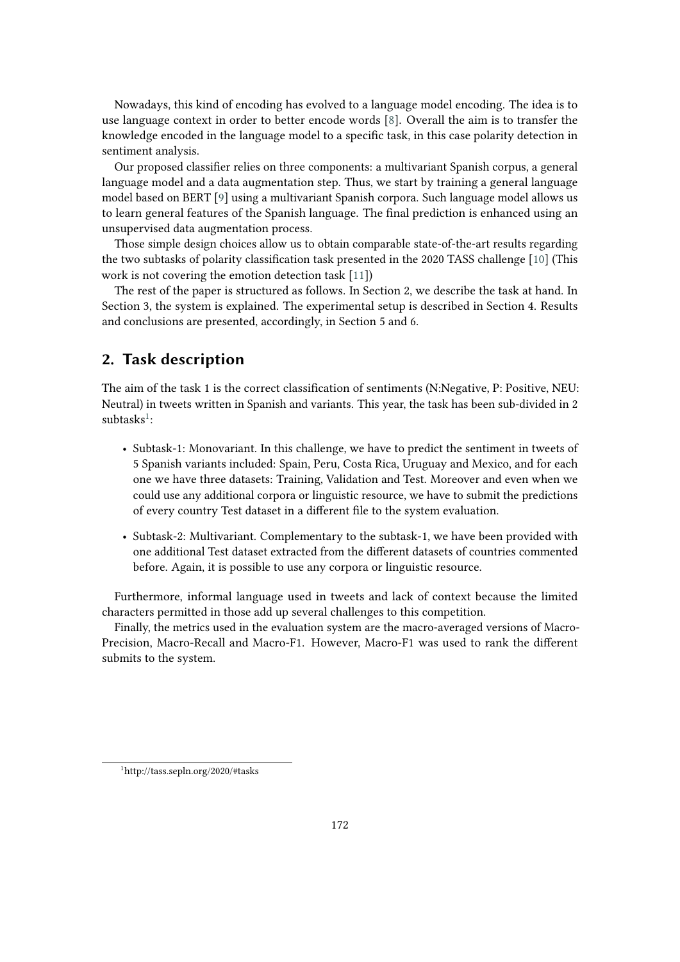Nowadays, this kind of encoding has evolved to a language model encoding. The idea is to use language context in order to better encode words [\[8\]](#page-7-0). Overall the aim is to transfer the knowledge encoded in the language model to a specific task, in this case polarity detection in sentiment analysis.

Our proposed classifier relies on three components: a multivariant Spanish corpus, a general language model and a data augmentation step. Thus, we start by training a general language model based on BERT [\[9\]](#page-7-1) using a multivariant Spanish corpora. Such language model allows us to learn general features of the Spanish language. The final prediction is enhanced using an unsupervised data augmentation process.

Those simple design choices allow us to obtain comparable state-of-the-art results regarding the two subtasks of polarity classification task presented in the 2020 TASS challenge [\[10\]](#page-7-2) (This work is not covering the emotion detection task [\[11\]](#page-7-3))

The rest of the paper is structured as follows. In Section 2, we describe the task at hand. In Section 3, the system is explained. The experimental setup is described in Section 4. Results and conclusions are presented, accordingly, in Section 5 and 6.

# **2. Task description**

The aim of the task 1 is the correct classification of sentiments (N:Negative, P: Positive, NEU: Neutral) in tweets written in Spanish and variants. This year, the task has been sub-divided in 2  $subtasks<sup>1</sup>$  $subtasks<sup>1</sup>$  $subtasks<sup>1</sup>$ :

- Subtask-1: Monovariant. In this challenge, we have to predict the sentiment in tweets of 5 Spanish variants included: Spain, Peru, Costa Rica, Uruguay and Mexico, and for each one we have three datasets: Training, Validation and Test. Moreover and even when we could use any additional corpora or linguistic resource, we have to submit the predictions of every country Test dataset in a different file to the system evaluation.
- Subtask-2: Multivariant. Complementary to the subtask-1, we have been provided with one additional Test dataset extracted from the different datasets of countries commented before. Again, it is possible to use any corpora or linguistic resource.

Furthermore, informal language used in tweets and lack of context because the limited characters permitted in those add up several challenges to this competition.

Finally, the metrics used in the evaluation system are the macro-averaged versions of Macro-Precision, Macro-Recall and Macro-F1. However, Macro-F1 was used to rank the different submits to the system.

<span id="page-1-0"></span><sup>1</sup>http://tass.sepln.org/2020/#tasks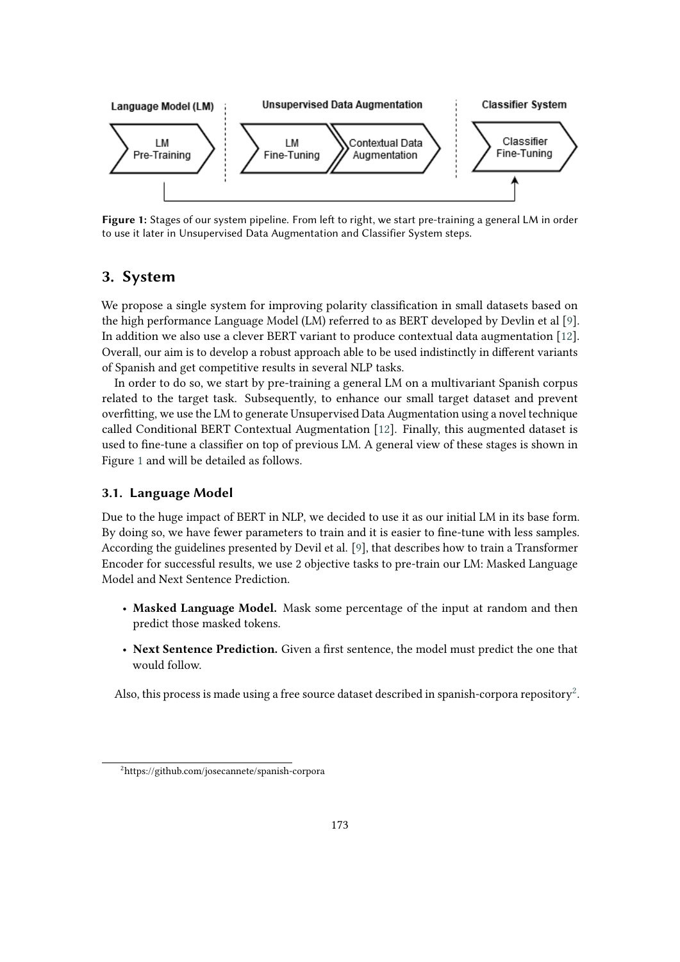

<span id="page-2-0"></span>**Figure 1:** Stages of our system pipeline. From left to right, we start pre-training a general LM in order to use it later in Unsupervised Data Augmentation and Classifier System steps.

## **3. System**

We propose a single system for improving polarity classification in small datasets based on the high performance Language Model (LM) referred to as BERT developed by Devlin et al [\[9\]](#page-7-1). In addition we also use a clever BERT variant to produce contextual data augmentation [\[12\]](#page-7-4). Overall, our aim is to develop a robust approach able to be used indistinctly in different variants of Spanish and get competitive results in several NLP tasks.

In order to do so, we start by pre-training a general LM on a multivariant Spanish corpus related to the target task. Subsequently, to enhance our small target dataset and prevent overfitting, we use the LM to generate Unsupervised Data Augmentation using a novel technique called Conditional BERT Contextual Augmentation [\[12\]](#page-7-4). Finally, this augmented dataset is used to fine-tune a classifier on top of previous LM. A general view of these stages is shown in Figure [1](#page-2-0) and will be detailed as follows.

## **3.1. Language Model**

Due to the huge impact of BERT in NLP, we decided to use it as our initial LM in its base form. By doing so, we have fewer parameters to train and it is easier to fine-tune with less samples. According the guidelines presented by Devil et al. [\[9\]](#page-7-1), that describes how to train a Transformer Encoder for successful results, we use 2 objective tasks to pre-train our LM: Masked Language Model and Next Sentence Prediction.

- **Masked Language Model.** Mask some percentage of the input at random and then predict those masked tokens.
- **Next Sentence Prediction.** Given a first sentence, the model must predict the one that would follow.

Also, this process is made using a free source dataset described in spanish-corpora repository $^2$  $^2$ .

<span id="page-2-1"></span><sup>2</sup>https://github.com/josecannete/spanish-corpora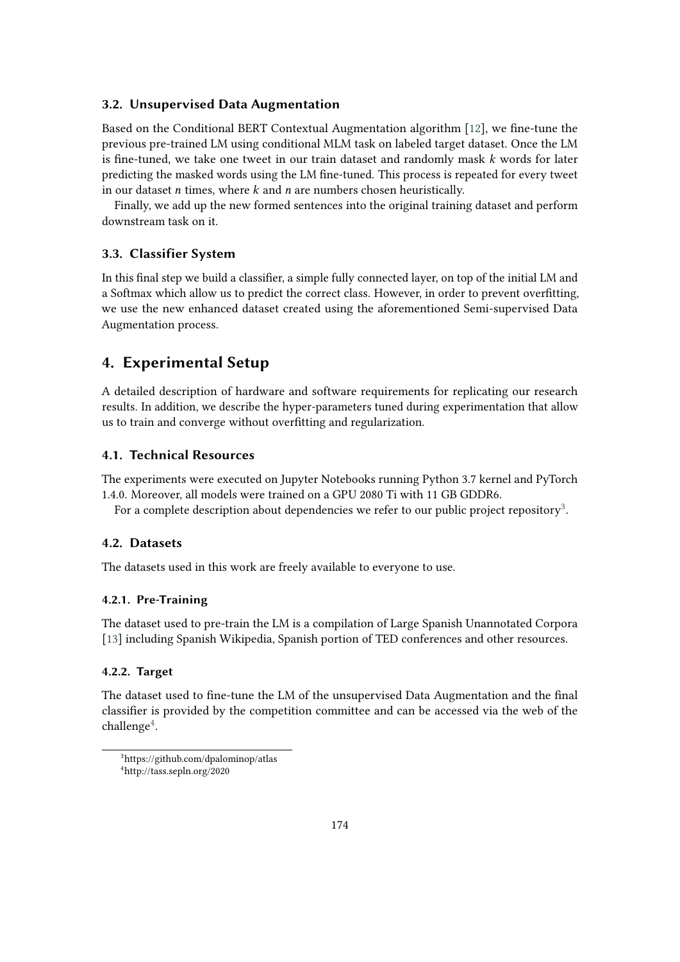## **3.2. Unsupervised Data Augmentation**

Based on the Conditional BERT Contextual Augmentation algorithm [\[12\]](#page-7-4), we fine-tune the previous pre-trained LM using conditional MLM task on labeled target dataset. Once the LM is fine-tuned, we take one tweet in our train dataset and randomly mask  $k$  words for later predicting the masked words using the LM fine-tuned. This process is repeated for every tweet in our dataset  $n$  times, where  $k$  and  $n$  are numbers chosen heuristically.

Finally, we add up the new formed sentences into the original training dataset and perform downstream task on it.

#### **3.3. Classifier System**

In this final step we build a classifier, a simple fully connected layer, on top of the initial LM and a Softmax which allow us to predict the correct class. However, in order to prevent overfitting, we use the new enhanced dataset created using the aforementioned Semi-supervised Data Augmentation process.

## **4. Experimental Setup**

A detailed description of hardware and software requirements for replicating our research results. In addition, we describe the hyper-parameters tuned during experimentation that allow us to train and converge without overfitting and regularization.

#### **4.1. Technical Resources**

The experiments were executed on Jupyter Notebooks running Python 3.7 kernel and PyTorch 1.4.0. Moreover, all models were trained on a GPU 2080 Ti with 11 GB GDDR6.

For a complete description about dependencies we refer to our public project repository $^3.$  $^3.$  $^3.$ 

#### <span id="page-3-2"></span>**4.2. Datasets**

The datasets used in this work are freely available to everyone to use.

#### **4.2.1. Pre-Training**

The dataset used to pre-train the LM is a compilation of Large Spanish Unannotated Corpora [\[13\]](#page-7-5) including Spanish Wikipedia, Spanish portion of TED conferences and other resources.

#### **4.2.2. Target**

The dataset used to fine-tune the LM of the unsupervised Data Augmentation and the final classifier is provided by the competition committee and can be accessed via the web of the  $challenge<sup>4</sup>$  $challenge<sup>4</sup>$  $challenge<sup>4</sup>$ .

<span id="page-3-1"></span><span id="page-3-0"></span><sup>3</sup>https://github.com/dpalominop/atlas <sup>4</sup>http://tass.sepln.org/2020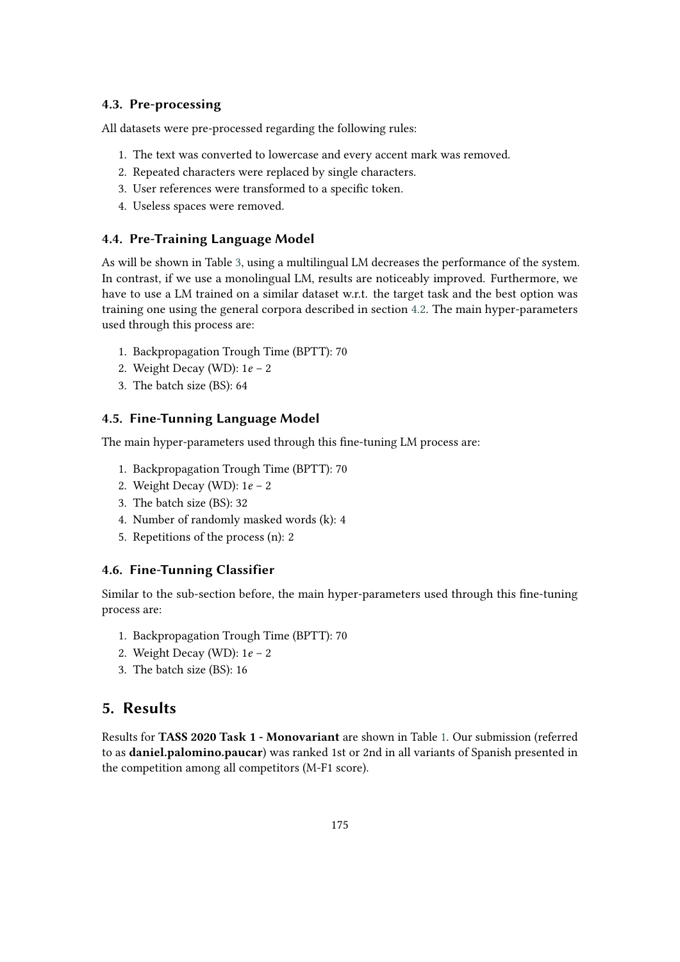## **4.3. Pre-processing**

All datasets were pre-processed regarding the following rules:

- 1. The text was converted to lowercase and every accent mark was removed.
- 2. Repeated characters were replaced by single characters.
- 3. User references were transformed to a specific token.
- 4. Useless spaces were removed.

#### **4.4. Pre-Training Language Model**

As will be shown in Table [3,](#page-6-0) using a multilingual LM decreases the performance of the system. In contrast, if we use a monolingual LM, results are noticeably improved. Furthermore, we have to use a LM trained on a similar dataset w.r.t. the target task and the best option was training one using the general corpora described in section [4.2.](#page-3-2) The main hyper-parameters used through this process are:

- 1. Backpropagation Trough Time (BPTT): 70
- 2. Weight Decay (WD):  $1e 2$
- 3. The batch size (BS): 64

## **4.5. Fine-Tunning Language Model**

The main hyper-parameters used through this fine-tuning LM process are:

- 1. Backpropagation Trough Time (BPTT): 70
- 2. Weight Decay (WD):  $1e 2$
- 3. The batch size (BS): 32
- 4. Number of randomly masked words (k): 4
- 5. Repetitions of the process (n): 2

#### **4.6. Fine-Tunning Classifier**

Similar to the sub-section before, the main hyper-parameters used through this fine-tuning process are:

- 1. Backpropagation Trough Time (BPTT): 70
- 2. Weight Decay (WD):  $1e 2$
- 3. The batch size (BS): 16

# **5. Results**

Results for **TASS 2020 Task 1 - Monovariant** are shown in Table [1.](#page-5-0) Our submission (referred to as **daniel.palomino.paucar**) was ranked 1st or 2nd in all variants of Spanish presented in the competition among all competitors (M-F1 score).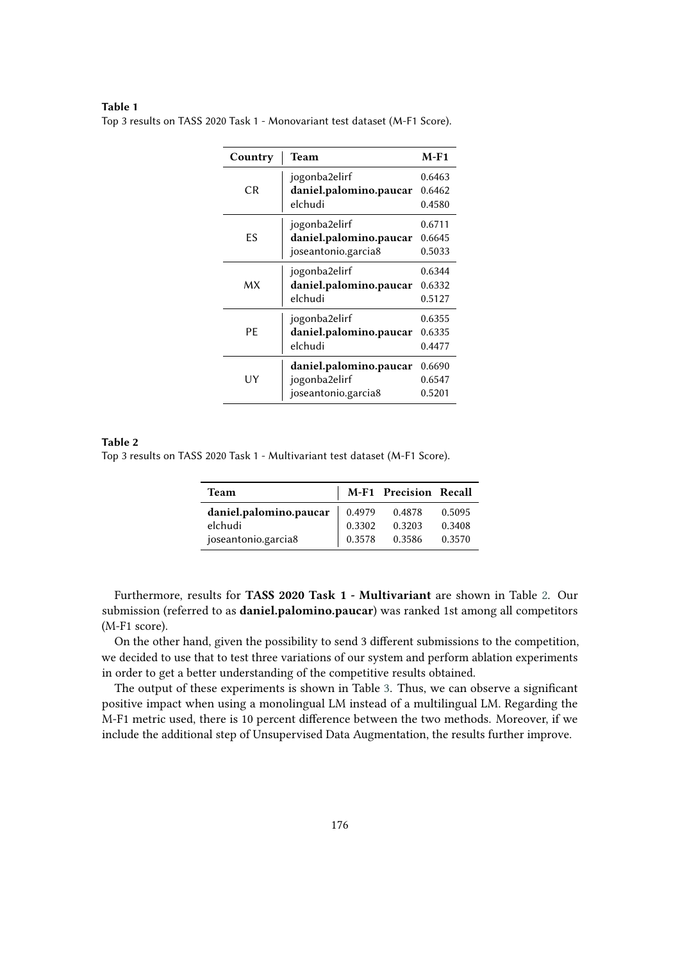#### **Table 1**

<span id="page-5-0"></span>Top 3 results on TASS 2020 Task 1 - Monovariant test dataset (M-F1 Score).

| Country | Team                                    | $M-F1$           |
|---------|-----------------------------------------|------------------|
| CR.     | jogonba2elirf<br>daniel.palomino.paucar | 0.6463<br>0.6462 |
|         | elchudi                                 | 0.4580           |
|         | jogonba2elirf                           | 0.6711           |
| ES      | daniel.palomino.paucar                  | 0.6645           |
|         | joseantonio.garcia8                     | 0.5033           |
| МX      | jogonba2elirf                           | 0.6344           |
|         | daniel.palomino.paucar                  | 0.6332           |
|         | elchudi                                 | 0.5127           |
| PF      | jogonba2elirf                           | 0.6355           |
|         | daniel.palomino.paucar                  | 0.6335           |
|         | elchudi                                 | 0.4477           |
| UY      | daniel.palomino.paucar                  | 0.6690           |
|         | jogonba2elirf                           | 0.6547           |
|         | joseantonio.garcia8                     | 0.5201           |

#### **Table 2**

<span id="page-5-1"></span>Top 3 results on TASS 2020 Task 1 - Multivariant test dataset (M-F1 Score).

| <b>Team</b>            |        | M-F1 Precision Recall |        |  |
|------------------------|--------|-----------------------|--------|--|
| daniel.palomino.paucar | 0.4979 | 0.4878                | 0.5095 |  |
| elchudi                | 0.3302 | 0.3203                | 0.3408 |  |
| joseantonio.garcia8    | 0.3578 | 0.3586                | 0.3570 |  |

Furthermore, results for **TASS 2020 Task 1 - Multivariant** are shown in Table [2.](#page-5-1) Our submission (referred to as **daniel.palomino.paucar**) was ranked 1st among all competitors (M-F1 score).

On the other hand, given the possibility to send 3 different submissions to the competition, we decided to use that to test three variations of our system and perform ablation experiments in order to get a better understanding of the competitive results obtained.

The output of these experiments is shown in Table [3.](#page-6-0) Thus, we can observe a significant positive impact when using a monolingual LM instead of a multilingual LM. Regarding the M-F1 metric used, there is 10 percent difference between the two methods. Moreover, if we include the additional step of Unsupervised Data Augmentation, the results further improve.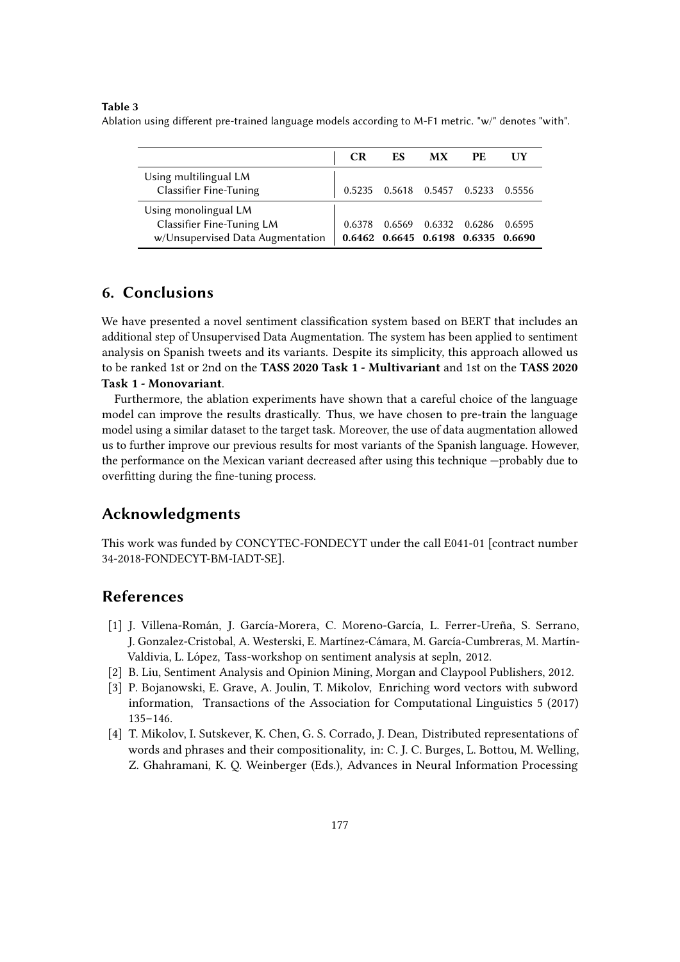#### **Table 3**

<span id="page-6-0"></span>Ablation using different pre-trained language models according to M-F1 metric. "w/" denotes "with".

|                                                                                       | CR     | ES                                           | МX     | РE     |        |
|---------------------------------------------------------------------------------------|--------|----------------------------------------------|--------|--------|--------|
| Using multilingual LM<br><b>Classifier Fine-Tuning</b>                                |        | 0.5235  0.5618  0.5457  0.5233               |        |        | 0.5556 |
| Using monolingual LM<br>Classifier Fine-Tuning LM<br>w/Unsupervised Data Augmentation | 0.6378 | 0.6569<br>0.6462 0.6645 0.6198 0.6335 0.6690 | 0.6332 | 0.6286 | 0.6595 |

## **6. Conclusions**

We have presented a novel sentiment classification system based on BERT that includes an additional step of Unsupervised Data Augmentation. The system has been applied to sentiment analysis on Spanish tweets and its variants. Despite its simplicity, this approach allowed us to be ranked 1st or 2nd on the **TASS 2020 Task 1 - Multivariant** and 1st on the **TASS 2020 Task 1 - Monovariant**.

Furthermore, the ablation experiments have shown that a careful choice of the language model can improve the results drastically. Thus, we have chosen to pre-train the language model using a similar dataset to the target task. Moreover, the use of data augmentation allowed us to further improve our previous results for most variants of the Spanish language. However, the performance on the Mexican variant decreased after using this technique —probably due to overfitting during the fine-tuning process.

# **Acknowledgments**

This work was funded by CONCYTEC-FONDECYT under the call E041-01 [contract number 34-2018-FONDECYT-BM-IADT-SE].

# **References**

- [1] J. Villena-Román, J. García-Morera, C. Moreno-García, L. Ferrer-Ureña, S. Serrano, J. Gonzalez-Cristobal, A. Westerski, E. Martínez-Cámara, M. García-Cumbreras, M. Martín-Valdivia, L. López, Tass-workshop on sentiment analysis at sepln, 2012.
- [2] B. Liu, Sentiment Analysis and Opinion Mining, Morgan and Claypool Publishers, 2012.
- [3] P. Bojanowski, E. Grave, A. Joulin, T. Mikolov, Enriching word vectors with subword information, Transactions of the Association for Computational Linguistics 5 (2017) 135–146.
- [4] T. Mikolov, I. Sutskever, K. Chen, G. S. Corrado, J. Dean, Distributed representations of words and phrases and their compositionality, in: C. J. C. Burges, L. Bottou, M. Welling, Z. Ghahramani, K. Q. Weinberger (Eds.), Advances in Neural Information Processing